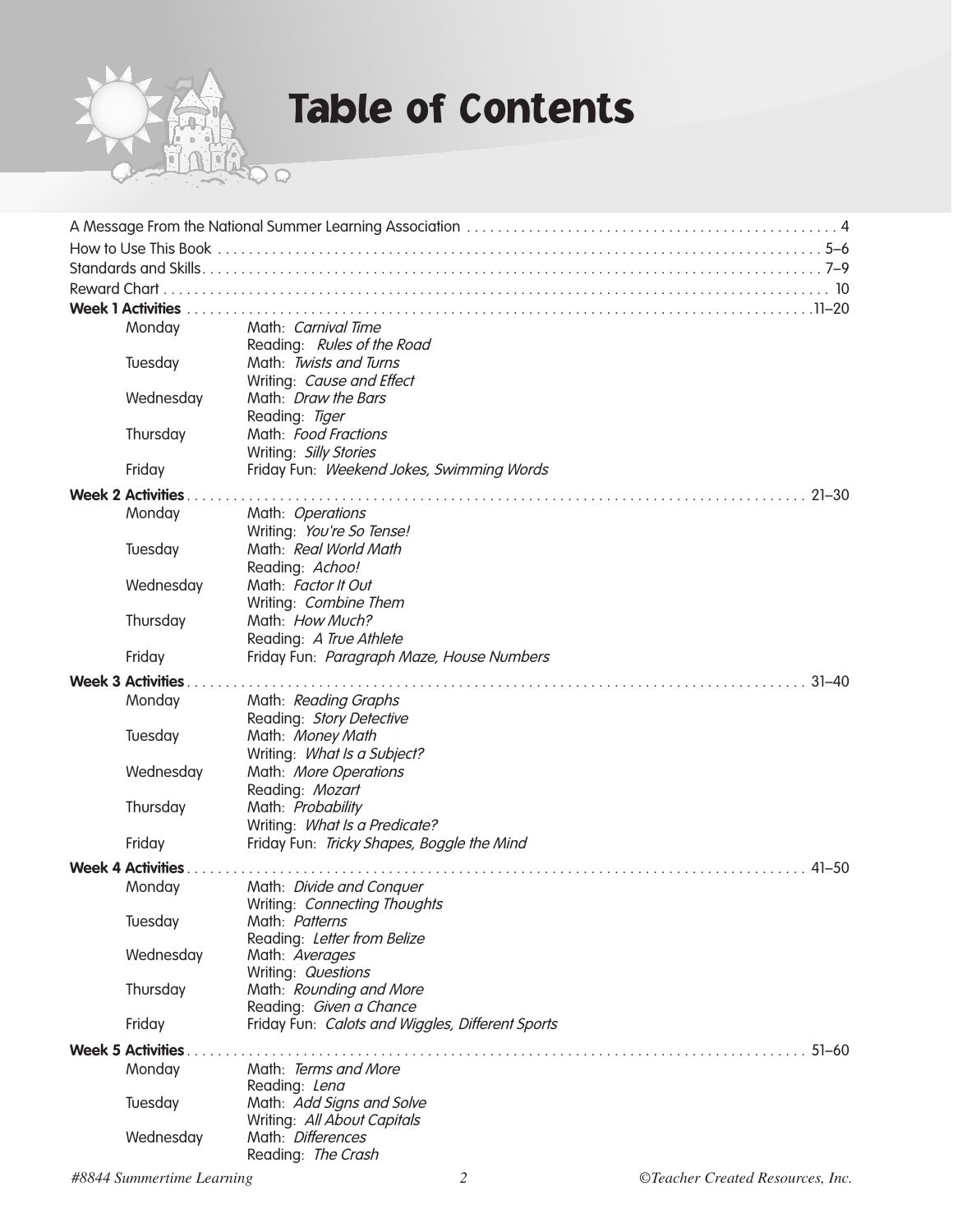

### Table of Contents

|  | <b>Week 1 Activities</b> |                                                         |
|--|--------------------------|---------------------------------------------------------|
|  | Monday                   | Math: Carnival Time                                     |
|  |                          |                                                         |
|  | Tuesday                  | Reading: Rules of the Road<br>Math: Twists and Turns    |
|  |                          |                                                         |
|  |                          | Writing: Cause and Effect<br>Math: <i>Draw the Bars</i> |
|  | Wednesday                |                                                         |
|  |                          | Reading: Tiger<br>Math: Food Fractions                  |
|  | Thursday                 |                                                         |
|  |                          | Writing: Silly Stories                                  |
|  | Friday                   | Friday Fun: Weekend Jokes, Swimming Words               |
|  | <b>Week 2 Activities</b> | $21 - 30$                                               |
|  | Monday                   | Math: Operations                                        |
|  |                          | Writing: You're So Tense!                               |
|  | Tuesday                  | Math: Real World Math                                   |
|  |                          | Reading: Achoo!                                         |
|  | Wednesday                | Math: Factor It Out                                     |
|  |                          | Writing: Combine Them                                   |
|  | Thursday                 | Math: How Much?                                         |
|  |                          | Reading: A True Athlete                                 |
|  | Friday                   | Friday Fun: Paragraph Maze, House Numbers               |
|  |                          |                                                         |
|  | <b>Week 3 Activities</b> | $31 - 40$                                               |
|  | Monday                   | Math: Reading Graphs                                    |
|  |                          | Reading: Story Detective                                |
|  | Tuesday                  | Math: Money Math                                        |
|  |                          | Writing: What Is a Subject?                             |
|  | Wednesday                | Math: More Operations                                   |
|  |                          | Reading: Mozart                                         |
|  | Thursday                 | Math: Probability                                       |
|  |                          | Writing: What Is a Predicate?                           |
|  | Friday                   | Friday Fun: Tricky Shapes, Boggle the Mind              |
|  | <b>Week 4 Activities</b> | $41 - 50$                                               |
|  | Monday                   | Math: Divide and Conquer                                |
|  |                          | Writing: Connecting Thoughts                            |
|  | Tuesday                  | Math: Patterns                                          |
|  |                          | Reading: Letter from Belize                             |
|  | Wednesday                | Math: Averages                                          |
|  |                          | Writing: Questions                                      |
|  | Thursday                 | Math: Rounding and More                                 |
|  |                          | Reading: Given a Chance                                 |
|  | Friday                   | Friday Fun: Calots and Wiggles, Different Sports        |
|  | <b>Week 5 Activities</b> | $51 - 60$                                               |
|  | Monday                   | Math: Terms and More                                    |
|  |                          | Reading: Lena                                           |
|  | Tuesday                  | Math: Add Signs and Solve                               |
|  |                          | Writing: All About Capitals                             |
|  | Wednesday                | Math: Differences                                       |
|  |                          | Reading: The Crash                                      |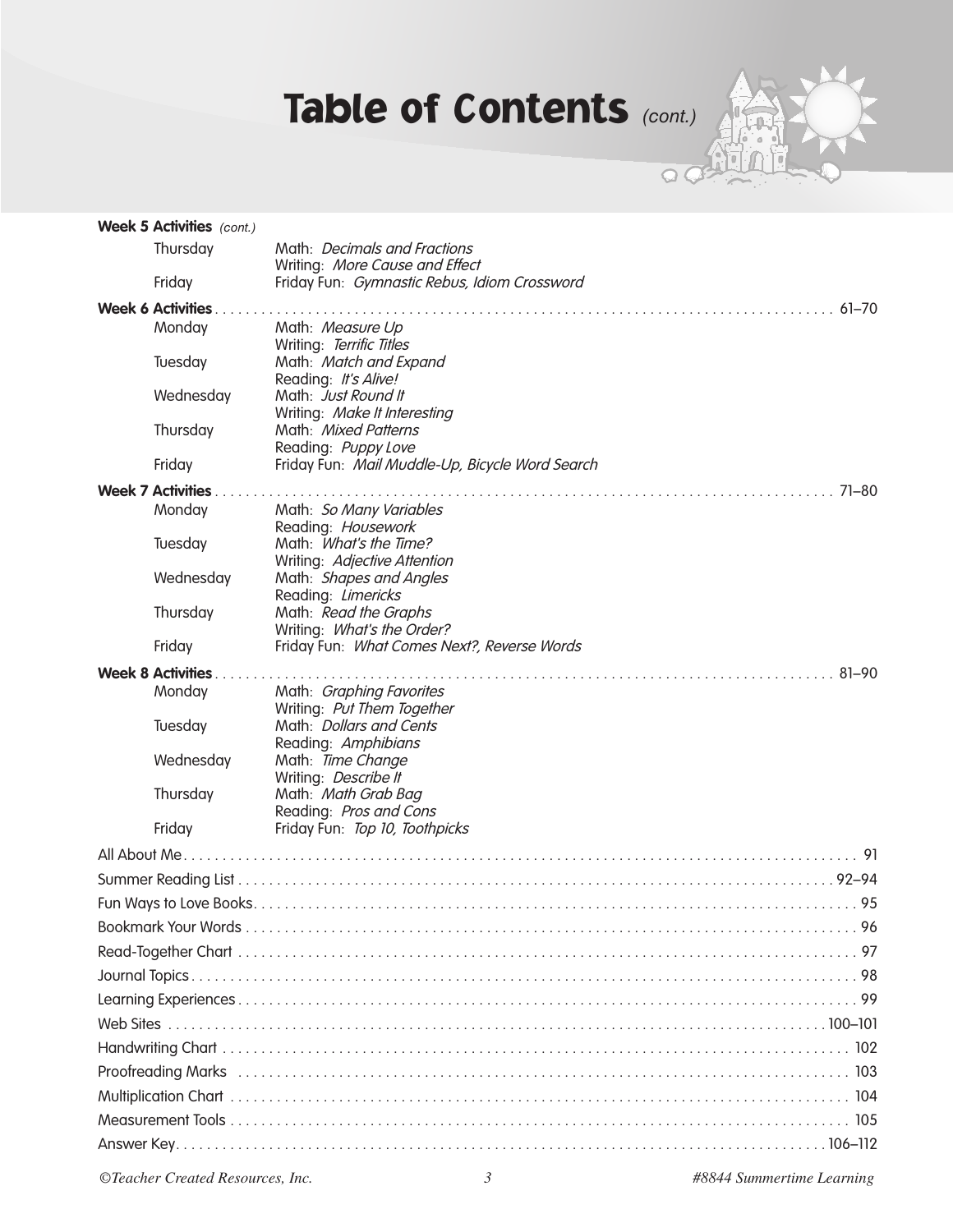# Table of Contents *(cont.)*



|  | <b>Week 5 Activities</b> (cont.) |                                                                                |  |  |  |  |
|--|----------------------------------|--------------------------------------------------------------------------------|--|--|--|--|
|  | Thursday                         | Math: Decimals and Fractions                                                   |  |  |  |  |
|  |                                  | Writing: More Cause and Effect<br>Friday Fun: Gymnastic Rebus, Idiom Crossword |  |  |  |  |
|  | Friday                           |                                                                                |  |  |  |  |
|  | <b>Week 6 Activities.</b>        |                                                                                |  |  |  |  |
|  | Monday                           | Math: Measure Up<br>Writing: Terrific Titles                                   |  |  |  |  |
|  | Tuesday                          | Math: Match and Expand                                                         |  |  |  |  |
|  |                                  | Reading: It's Alive!                                                           |  |  |  |  |
|  | Wednesday                        | Math: Just Round It                                                            |  |  |  |  |
|  |                                  | Writing: Make It Interesting<br>Math: Mixed Patterns                           |  |  |  |  |
|  | Thursday                         | Reading: Puppy Love                                                            |  |  |  |  |
|  | Friday                           | Friday Fun: Mail Muddle-Up, Bicycle Word Search                                |  |  |  |  |
|  | <b>Week 7 Activities.</b>        |                                                                                |  |  |  |  |
|  | Monday                           | Math: So Many Variables                                                        |  |  |  |  |
|  |                                  | Reading: Housework                                                             |  |  |  |  |
|  | Tuesday                          | Math: What's the Time?                                                         |  |  |  |  |
|  |                                  | Writing: Adjective Attention                                                   |  |  |  |  |
|  | Wednesday                        | Math: Shapes and Angles<br>Reading: Limericks                                  |  |  |  |  |
|  | Thursday                         | Math: Read the Graphs                                                          |  |  |  |  |
|  |                                  | Writing: What's the Order?                                                     |  |  |  |  |
|  | Friday                           | Friday Fun: What Comes Next?, Reverse Words                                    |  |  |  |  |
|  | <b>Week 8 Activities.</b>        |                                                                                |  |  |  |  |
|  | Monday                           | Math: Graphing Favorites                                                       |  |  |  |  |
|  | Tuesday                          | Writing: Put Them Together<br>Math: Dollars and Cents                          |  |  |  |  |
|  |                                  | Reading: Amphibians                                                            |  |  |  |  |
|  | Wednesday                        | Math: Time Change                                                              |  |  |  |  |
|  |                                  | Writing: Describe It                                                           |  |  |  |  |
|  | Thursday                         | Math: Math Grab Bag                                                            |  |  |  |  |
|  | Friday                           | Reading: Pros and Cons<br>Friday Fun: Top 10, Toothpicks                       |  |  |  |  |
|  |                                  |                                                                                |  |  |  |  |
|  |                                  |                                                                                |  |  |  |  |
|  |                                  |                                                                                |  |  |  |  |
|  |                                  |                                                                                |  |  |  |  |
|  |                                  |                                                                                |  |  |  |  |
|  |                                  |                                                                                |  |  |  |  |
|  |                                  |                                                                                |  |  |  |  |
|  |                                  |                                                                                |  |  |  |  |
|  |                                  |                                                                                |  |  |  |  |
|  |                                  |                                                                                |  |  |  |  |
|  |                                  |                                                                                |  |  |  |  |
|  |                                  |                                                                                |  |  |  |  |
|  |                                  |                                                                                |  |  |  |  |
|  |                                  |                                                                                |  |  |  |  |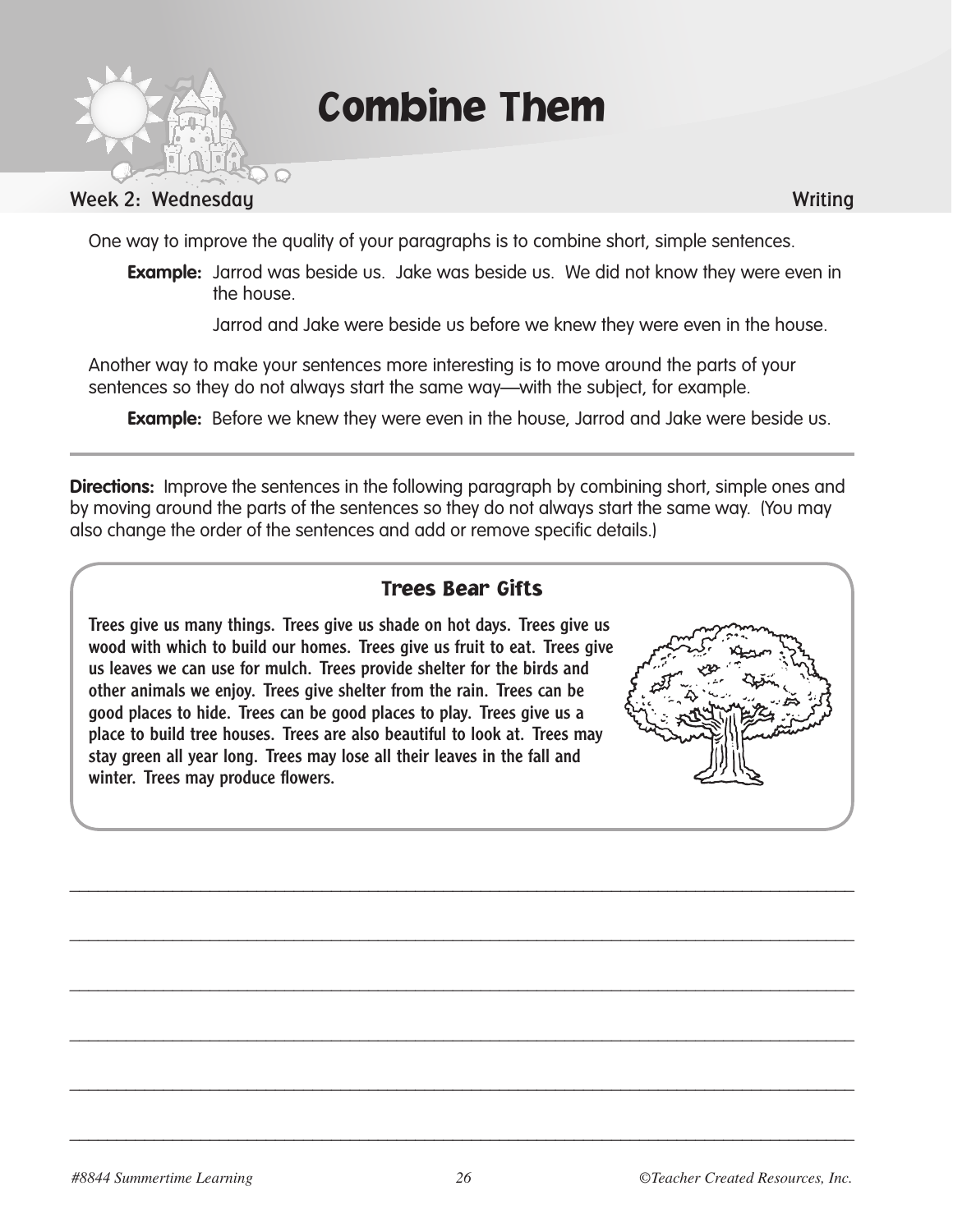

Combine Them

#### Week 2: Wednesday Writing

One way to improve the quality of your paragraphs is to combine short, simple sentences.

**Example:** Jarrod was beside us. Jake was beside us. We did not know they were even in the house.

Jarrod and Jake were beside us before we knew they were even in the house.

Another way to make your sentences more interesting is to move around the parts of your sentences so they do not always start the same way—with the subject, for example.

**Example:** Before we knew they were even in the house, Jarrod and Jake were beside us.

**Directions:** Improve the sentences in the following paragraph by combining short, simple ones and by moving around the parts of the sentences so they do not always start the same way. (You may also change the order of the sentences and add or remove specific details.)

#### Trees Bear Gifts

Trees give us many things. Trees give us shade on hot days. Trees give us wood with which to build our homes. Trees give us fruit to eat. Trees give us leaves we can use for mulch. Trees provide shelter for the birds and other animals we enjoy. Trees give shelter from the rain. Trees can be good places to hide. Trees can be good places to play. Trees give us a place to build tree houses. Trees are also beautiful to look at. Trees may stay green all year long. Trees may lose all their leaves in the fall and winter. Trees may produce flowers.



\_\_\_\_\_\_\_\_\_\_\_\_\_\_\_\_\_\_\_\_\_\_\_\_\_\_\_\_\_\_\_\_\_\_\_\_\_\_\_\_\_\_\_\_\_\_\_\_\_\_\_\_\_\_\_\_\_\_\_\_\_\_\_\_\_\_\_\_\_\_\_\_\_\_\_\_\_\_\_\_\_\_\_\_

\_\_\_\_\_\_\_\_\_\_\_\_\_\_\_\_\_\_\_\_\_\_\_\_\_\_\_\_\_\_\_\_\_\_\_\_\_\_\_\_\_\_\_\_\_\_\_\_\_\_\_\_\_\_\_\_\_\_\_\_\_\_\_\_\_\_\_\_\_\_\_\_\_\_\_\_\_\_\_\_\_\_\_\_

\_\_\_\_\_\_\_\_\_\_\_\_\_\_\_\_\_\_\_\_\_\_\_\_\_\_\_\_\_\_\_\_\_\_\_\_\_\_\_\_\_\_\_\_\_\_\_\_\_\_\_\_\_\_\_\_\_\_\_\_\_\_\_\_\_\_\_\_\_\_\_\_\_\_\_\_\_\_\_\_\_\_\_\_

\_\_\_\_\_\_\_\_\_\_\_\_\_\_\_\_\_\_\_\_\_\_\_\_\_\_\_\_\_\_\_\_\_\_\_\_\_\_\_\_\_\_\_\_\_\_\_\_\_\_\_\_\_\_\_\_\_\_\_\_\_\_\_\_\_\_\_\_\_\_\_\_\_\_\_\_\_\_\_\_\_\_\_\_

\_\_\_\_\_\_\_\_\_\_\_\_\_\_\_\_\_\_\_\_\_\_\_\_\_\_\_\_\_\_\_\_\_\_\_\_\_\_\_\_\_\_\_\_\_\_\_\_\_\_\_\_\_\_\_\_\_\_\_\_\_\_\_\_\_\_\_\_\_\_\_\_\_\_\_\_\_\_\_\_\_\_\_\_

\_\_\_\_\_\_\_\_\_\_\_\_\_\_\_\_\_\_\_\_\_\_\_\_\_\_\_\_\_\_\_\_\_\_\_\_\_\_\_\_\_\_\_\_\_\_\_\_\_\_\_\_\_\_\_\_\_\_\_\_\_\_\_\_\_\_\_\_\_\_\_\_\_\_\_\_\_\_\_\_\_\_\_\_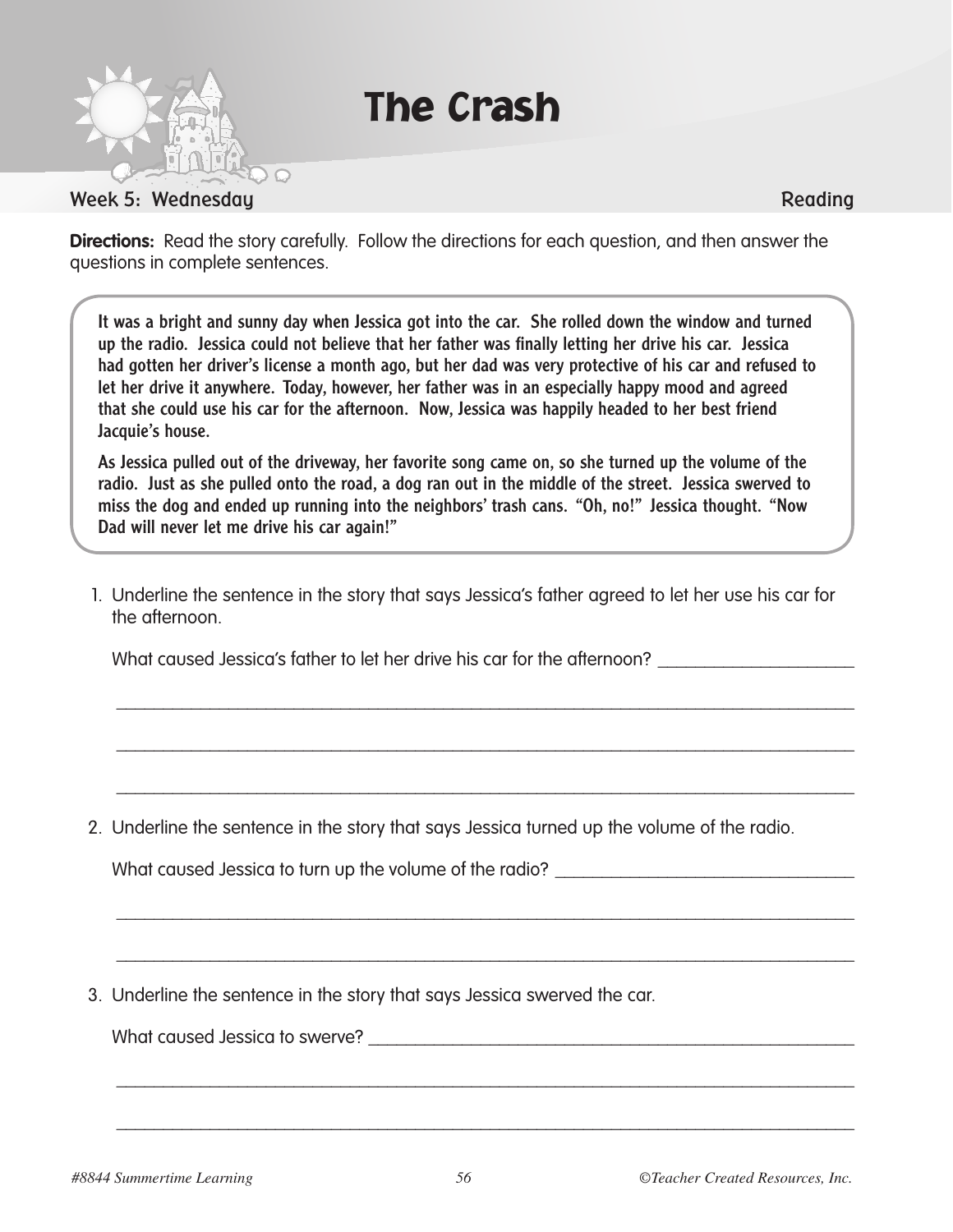

The Crash

**Directions:** Read the story carefully. Follow the directions for each question, and then answer the questions in complete sentences.

It was a bright and sunny day when Jessica got into the car. She rolled down the window and turned up the radio. Jessica could not believe that her father was finally letting her drive his car. Jessica had gotten her driver's license a month ago, but her dad was very protective of his car and refused to let her drive it anywhere. Today, however, her father was in an especially happy mood and agreed that she could use his car for the afternoon. Now, Jessica was happily headed to her best friend Jacquie's house.

As Jessica pulled out of the driveway, her favorite song came on, so she turned up the volume of the radio. Just as she pulled onto the road, a dog ran out in the middle of the street. Jessica swerved to miss the dog and ended up running into the neighbors' trash cans. "Oh, no!" Jessica thought. "Now Dad will never let me drive his car again!"

1. Underline the sentence in the story that says Jessica's father agreed to let her use his car for the afternoon.

\_\_\_\_\_\_\_\_\_\_\_\_\_\_\_\_\_\_\_\_\_\_\_\_\_\_\_\_\_\_\_\_\_\_\_\_\_\_\_\_\_\_\_\_\_\_\_\_\_\_\_\_\_\_\_\_\_\_\_\_\_\_\_\_\_\_\_\_\_\_\_\_\_\_\_\_\_\_\_

\_\_\_\_\_\_\_\_\_\_\_\_\_\_\_\_\_\_\_\_\_\_\_\_\_\_\_\_\_\_\_\_\_\_\_\_\_\_\_\_\_\_\_\_\_\_\_\_\_\_\_\_\_\_\_\_\_\_\_\_\_\_\_\_\_\_\_\_\_\_\_\_\_\_\_\_\_\_\_

\_\_\_\_\_\_\_\_\_\_\_\_\_\_\_\_\_\_\_\_\_\_\_\_\_\_\_\_\_\_\_\_\_\_\_\_\_\_\_\_\_\_\_\_\_\_\_\_\_\_\_\_\_\_\_\_\_\_\_\_\_\_\_\_\_\_\_\_\_\_\_\_\_\_\_\_\_\_\_

\_\_\_\_\_\_\_\_\_\_\_\_\_\_\_\_\_\_\_\_\_\_\_\_\_\_\_\_\_\_\_\_\_\_\_\_\_\_\_\_\_\_\_\_\_\_\_\_\_\_\_\_\_\_\_\_\_\_\_\_\_\_\_\_\_\_\_\_\_\_\_\_\_\_\_\_\_\_\_

\_\_\_\_\_\_\_\_\_\_\_\_\_\_\_\_\_\_\_\_\_\_\_\_\_\_\_\_\_\_\_\_\_\_\_\_\_\_\_\_\_\_\_\_\_\_\_\_\_\_\_\_\_\_\_\_\_\_\_\_\_\_\_\_\_\_\_\_\_\_\_\_\_\_\_\_\_\_\_

\_\_\_\_\_\_\_\_\_\_\_\_\_\_\_\_\_\_\_\_\_\_\_\_\_\_\_\_\_\_\_\_\_\_\_\_\_\_\_\_\_\_\_\_\_\_\_\_\_\_\_\_\_\_\_\_\_\_\_\_\_\_\_\_\_\_\_\_\_\_\_\_\_\_\_\_\_\_\_

\_\_\_\_\_\_\_\_\_\_\_\_\_\_\_\_\_\_\_\_\_\_\_\_\_\_\_\_\_\_\_\_\_\_\_\_\_\_\_\_\_\_\_\_\_\_\_\_\_\_\_\_\_\_\_\_\_\_\_\_\_\_\_\_\_\_\_\_\_\_\_\_\_\_\_\_\_\_\_

What caused Jessica's father to let her drive his car for the afternoon?

2. Underline the sentence in the story that says Jessica turned up the volume of the radio.

What caused Jessica to turn up the volume of the radio?

3. Underline the sentence in the story that says Jessica swerved the car.

What caused Jessica to swerve?  $\blacksquare$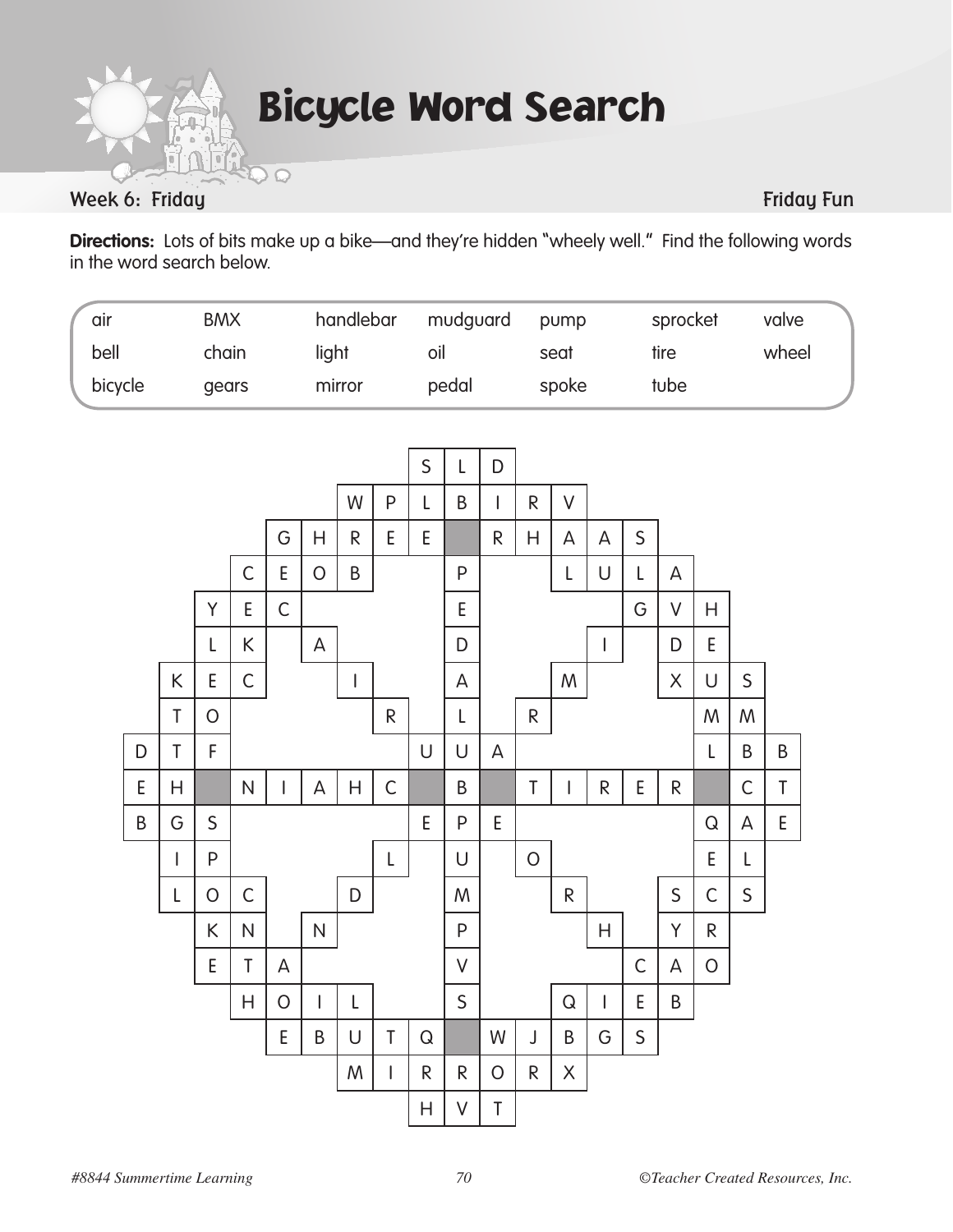$\odot$ 

Bicycle Word Search

### Week 6: Friday Function of the Contract of the Contract of the Contract of the Contract of the Friday Function

**Directions:** Lots of bits make up a bike—and they're hidden "wheely well." Find the following words in the word search below.

| air     | <b>BMX</b> | handlebar | mudguard | pump  | sprocket | valve |
|---------|------------|-----------|----------|-------|----------|-------|
| bell    | chain      | light     | oil      | seat  | tire     | wheel |
| bicycle | dears      | mirror    | pedal    | spoke | tube     |       |

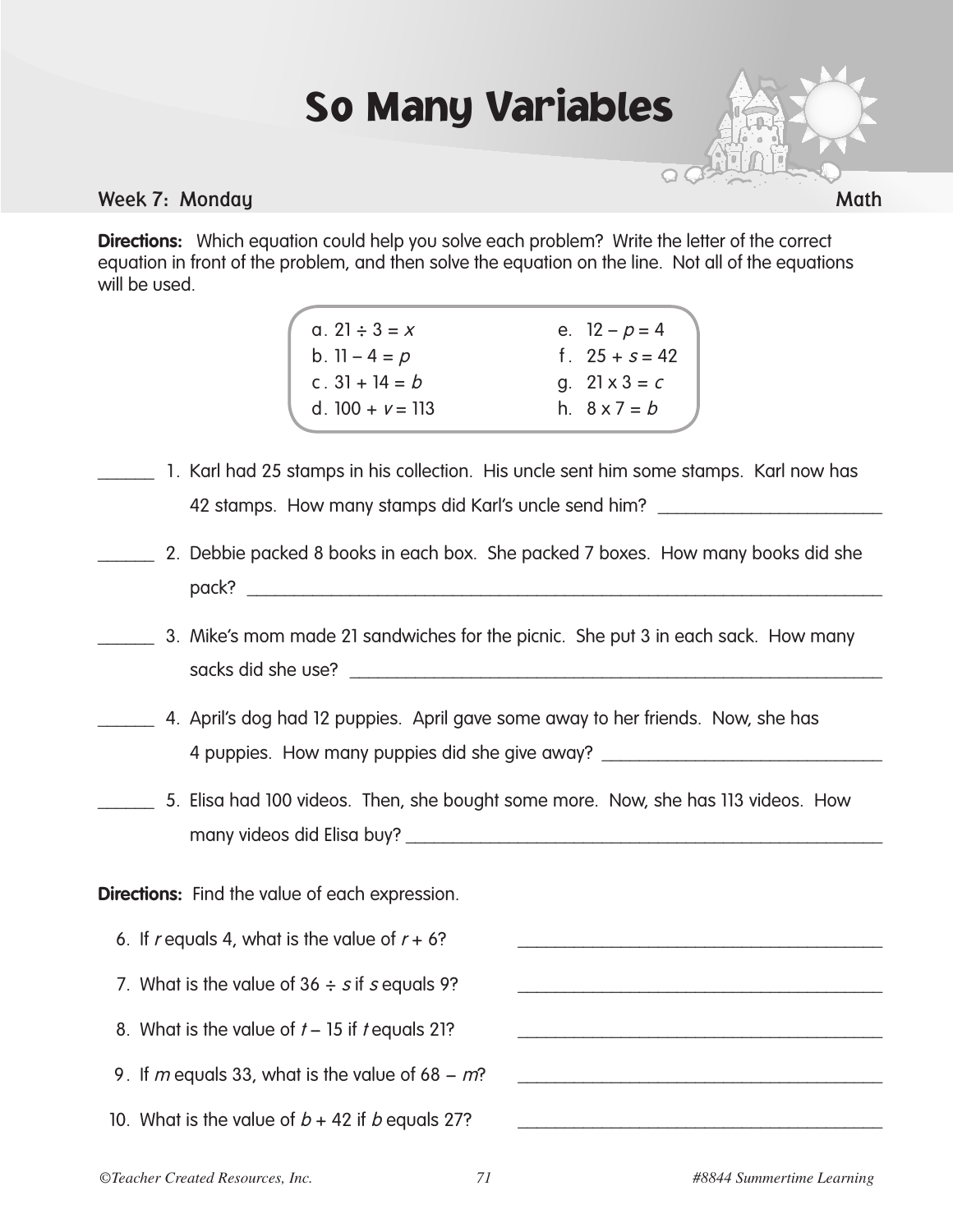## So Many Variables



**Directions:** Which equation could help you solve each problem? Write the letter of the correct equation in front of the problem, and then solve the equation on the line. Not all of the equations will be used.



- 1. Karl had 25 stamps in his collection. His uncle sent him some stamps. Karl now has 42 stamps. How many stamps did Karl's uncle send him?
	- 2. Debbie packed 8 books in each box. She packed 7 boxes. How many books did she  $\text{pack?}$
- \_\_\_\_\_\_ 3. Mike's mom made 21 sandwiches for the picnic. She put 3 in each sack. How many sacks did she use?
- \_\_\_\_\_\_ 4. April's dog had 12 puppies. April gave some away to her friends. Now, she has 4 puppies. How many puppies did she give away? \_\_\_\_\_\_\_\_\_\_\_\_\_\_\_\_\_\_\_\_\_\_\_\_\_\_\_\_\_\_\_\_\_
- \_\_\_\_\_\_ 5. Elisa had 100 videos. Then, she bought some more. Now, she has 113 videos. How many videos did Elisa buy? \_\_\_\_\_\_\_\_\_\_\_\_\_\_\_\_\_\_\_\_\_\_\_\_\_\_\_\_\_\_\_\_\_\_\_\_\_\_\_\_\_\_\_\_\_\_\_\_\_\_\_

**Directions:** Find the value of each expression.

- 6. If r equals 4, what is the value of  $r + 6$ ?
- 7. What is the value of  $36 \div s$  if s equals 9?
- 8. What is the value of  $t 15$  if  $t$  equals 21?
- 9. If m equals 33, what is the value of  $68 m$ ?
- 10. What is the value of  $b + 42$  if b equals 27?